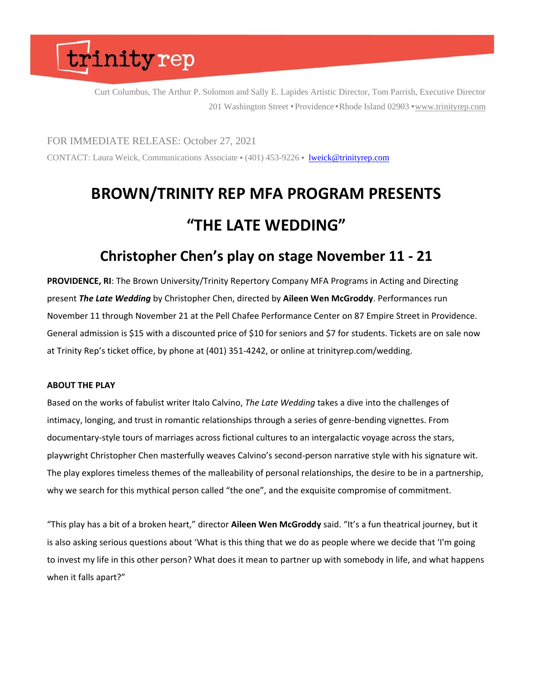Curt Columbus, The Arthur P. Solomon and Sally E. Lapides Artistic Director, Tom Parrish, Executive Director 201 Washington Street • Providence • Rhode Island 02903 • [www.trinityrep.com](http://www.trinityrep.com/)

FOR IMMEDIATE RELEASE: October 27, 2021 CONTACT: Laura Weick, Communications Associate • (401) 453-9226 • [lweick@trinityrep.com](mailto:lweick@trinityrep.com)

### **BROWN/TRINITY REP MFA PROGRAM PRESENTS "THE LATE WEDDING"**

### **Christopher Chen's play on stage November 11 - 21**

**PROVIDENCE, RI**: The Brown University/Trinity Repertory Company MFA Programs in Acting and Directing present *The Late Wedding* by Christopher Chen, directed by **Aileen Wen McGroddy**. Performances run November 11 through November 21 at the Pell Chafee Performance Center on 87 Empire Street in Providence. General admission is \$15 with a discounted price of \$10 for seniors and \$7 for students. Tickets are on sale now at Trinity Rep's ticket office, by phone at (401) 351-4242, or online at trinityrep.com/wedding.

#### **ABOUT THE PLAY**

Based on the works of fabulist writer Italo Calvino, *The Late Wedding* takes a dive into the challenges of intimacy, longing, and trust in romantic relationships through a series of genre-bending vignettes. From documentary-style tours of marriages across fictional cultures to an intergalactic voyage across the stars, playwright Christopher Chen masterfully weaves Calvino's second-person narrative style with his signature wit. The play explores timeless themes of the malleability of personal relationships, the desire to be in a partnership, why we search for this mythical person called "the one", and the exquisite compromise of commitment.

"This play has a bit of a broken heart," director **Aileen Wen McGroddy** said. "It's a fun theatrical journey, but it is also asking serious questions about 'What is this thing that we do as people where we decide that 'I'm going to invest my life in this other person? What does it mean to partner up with somebody in life, and what happens when it falls apart?"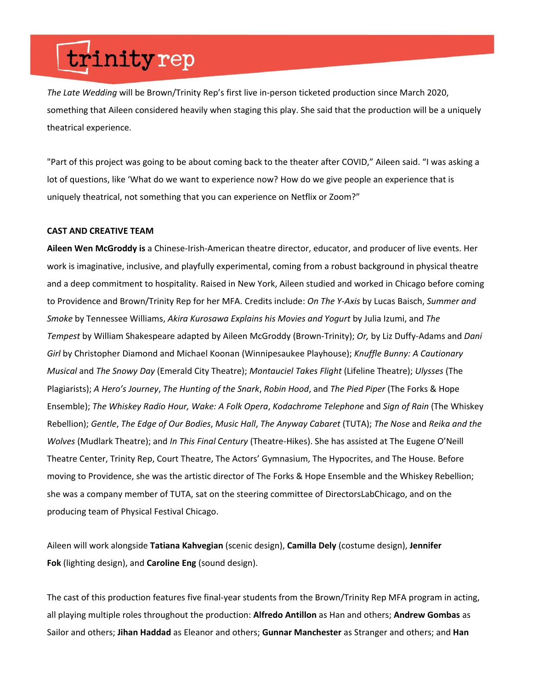*The Late Wedding* will be Brown/Trinity Rep's first live in-person ticketed production since March 2020, something that Aileen considered heavily when staging this play. She said that the production will be a uniquely theatrical experience.

"Part of this project was going to be about coming back to the theater after COVID," Aileen said. "I was asking a lot of questions, like 'What do we want to experience now? How do we give people an experience that is uniquely theatrical, not something that you can experience on Netflix or Zoom?"

#### **CAST AND CREATIVE TEAM**

**Aileen Wen McGroddy is** a Chinese-Irish-American theatre director, educator, and producer of live events. Her work is imaginative, inclusive, and playfully experimental, coming from a robust background in physical theatre and a deep commitment to hospitality. Raised in New York, Aileen studied and worked in Chicago before coming to Providence and Brown/Trinity Rep for her MFA. Credits include: *On The Y-Axis* by Lucas Baisch, *Summer and Smoke* by Tennessee Williams, *Akira Kurosawa Explains his Movies and Yogurt* by Julia Izumi, and *The Tempest* by William Shakespeare adapted by Aileen McGroddy (Brown-Trinity); *Or,* by Liz Duffy-Adams and *Dani Girl* by Christopher Diamond and Michael Koonan (Winnipesaukee Playhouse); *Knuffle Bunny: A Cautionary Musical* and *The Snowy Day* (Emerald City Theatre); *Montauciel Takes Flight* (Lifeline Theatre); *Ulysses* (The Plagiarists); *A Hero's Journey*, *The Hunting of the Snark*, *Robin Hood*, and *The Pied Piper* (The Forks & Hope Ensemble); *The Whiskey Radio Hour, Wake: A Folk Opera*, *Kodachrome Telephone* and *Sign of Rain* (The Whiskey Rebellion); *Gentle*, *The Edge of Our Bodies*, *Music Hall*, *The Anyway Cabaret* (TUTA); *The Nose* and *Reika and the Wolves* (Mudlark Theatre); and *In This Final Century* (Theatre-Hikes). She has assisted at The Eugene O'Neill Theatre Center, Trinity Rep, Court Theatre, The Actors' Gymnasium, The Hypocrites, and The House. Before moving to Providence, she was the artistic director of The Forks & Hope Ensemble and the Whiskey Rebellion; she was a company member of TUTA, sat on the steering committee of DirectorsLabChicago, and on the producing team of Physical Festival Chicago.

Aileen will work alongside **Tatiana Kahvegian** (scenic design), **Camilla Dely** (costume design), **Jennifer Fok** (lighting design), and **Caroline Eng** (sound design).

The cast of this production features five final-year students from the Brown/Trinity Rep MFA program in acting, all playing multiple roles throughout the production: **Alfredo Antillon** as Han and others; **Andrew Gombas** as Sailor and others; **Jihan Haddad** as Eleanor and others; **Gunnar Manchester** as Stranger and others; and **Han**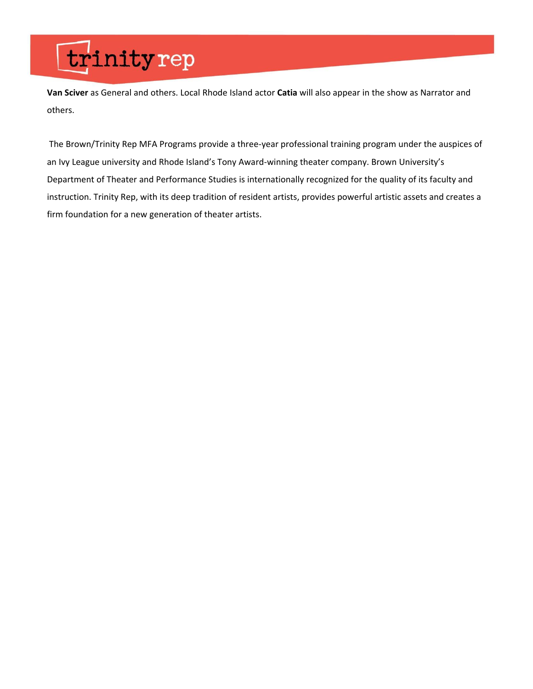**Van Sciver** as General and others. Local Rhode Island actor **Catia** will also appear in the show as Narrator and others.

The Brown/Trinity Rep MFA Programs provide a three-year professional training program under the auspices of an Ivy League university and Rhode Island's Tony Award-winning theater company. Brown University's Department of Theater and Performance Studies is internationally recognized for the quality of its faculty and instruction. Trinity Rep, with its deep tradition of resident artists, provides powerful artistic assets and creates a firm foundation for a new generation of theater artists.